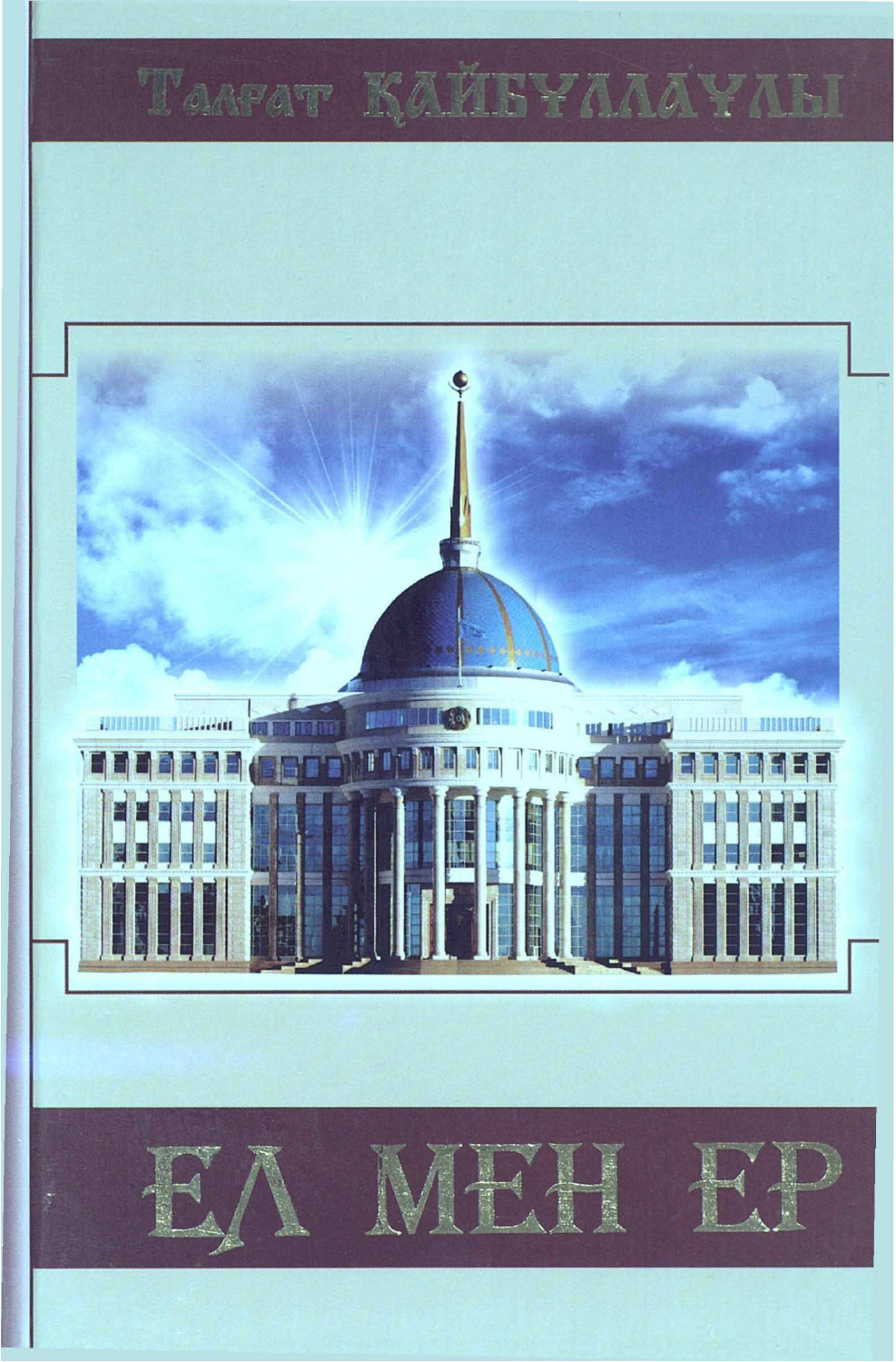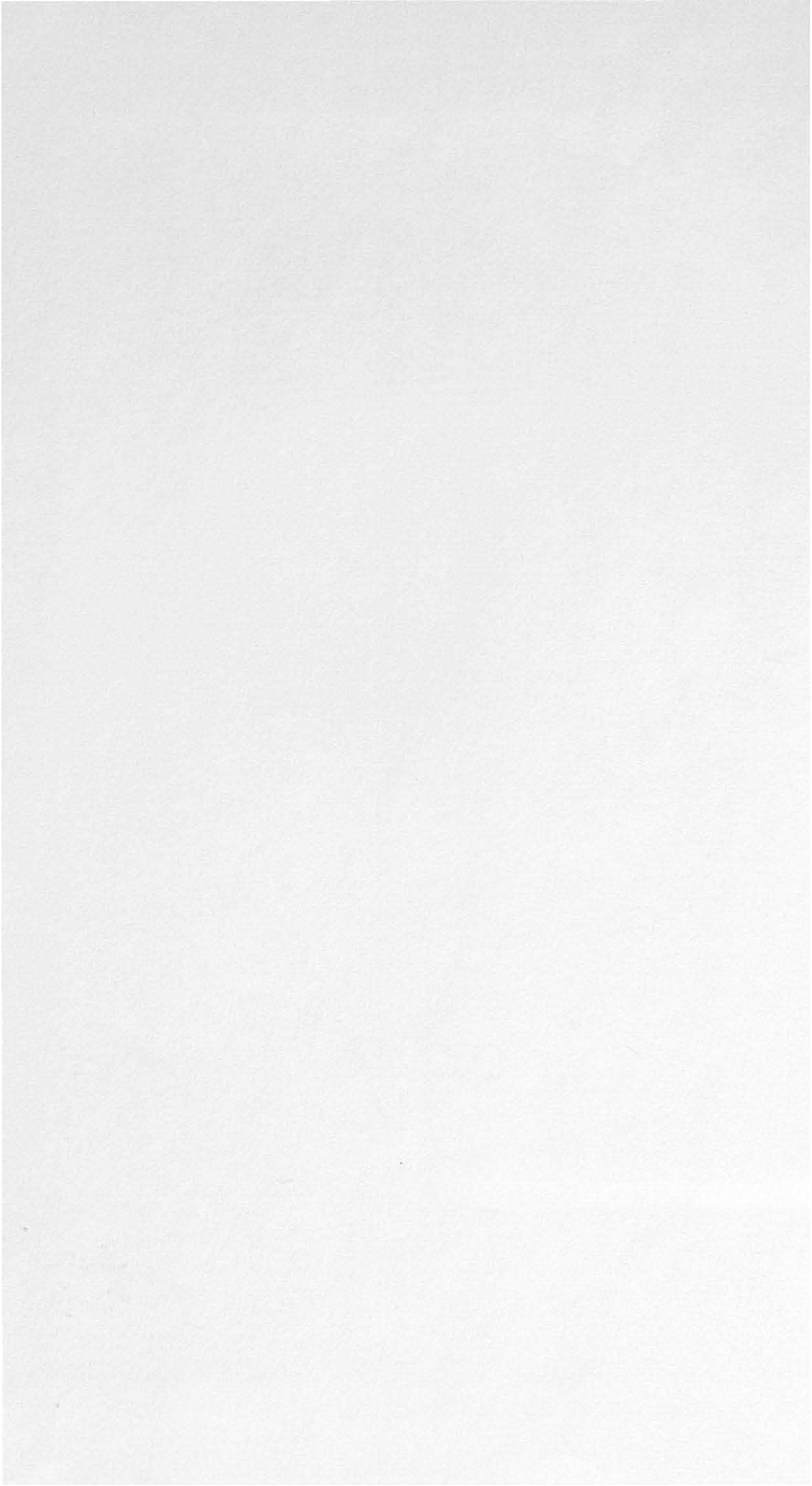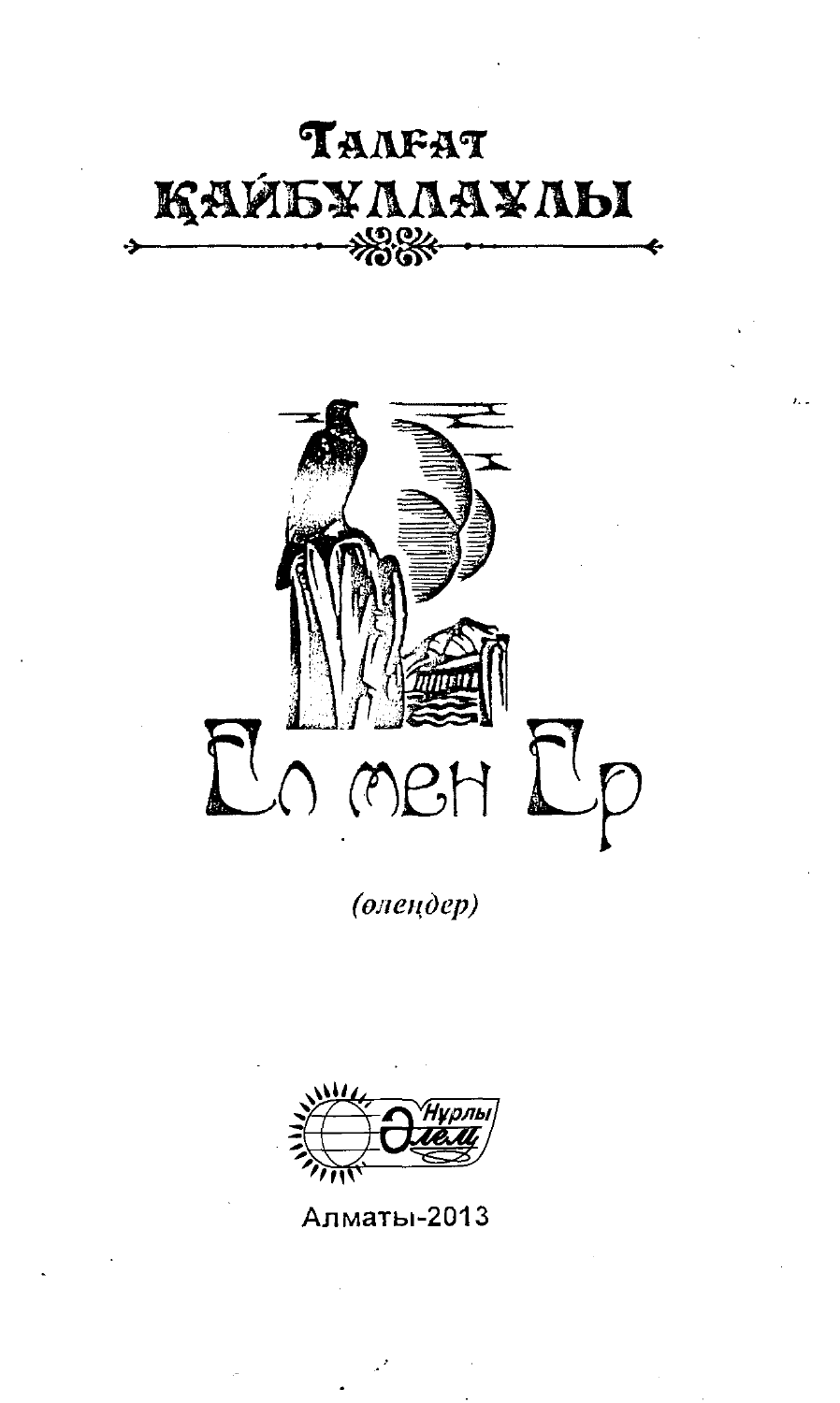



(өлеңдер)



Алматы-2013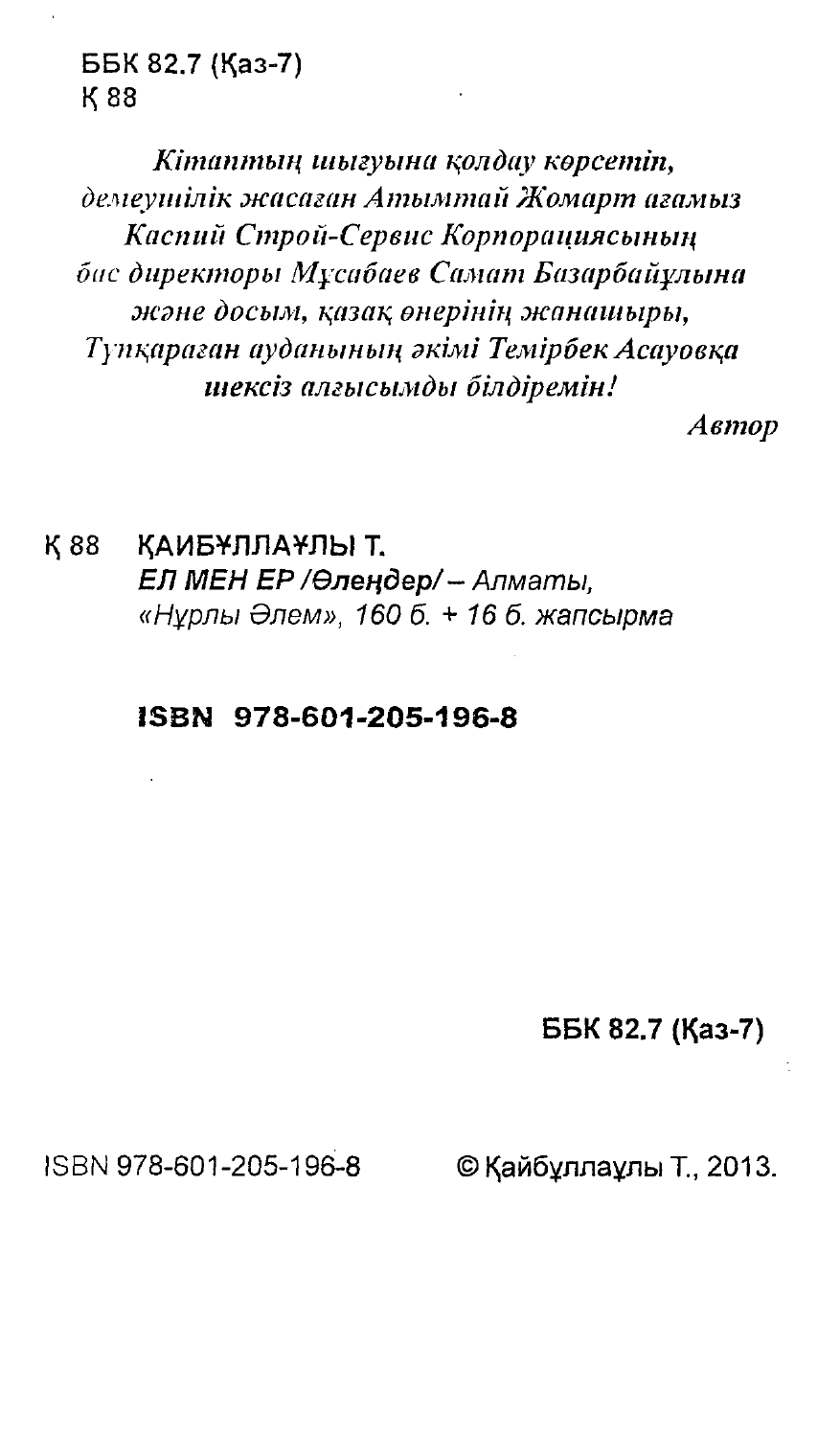ББК 82.7 (Қаз-7) K88

Кітаптың шығуына қолдау көрсетіп, демеушілік жасаған Атымтай Жомарт ағамыз Каспий Строй-Сервис Корпорациясының бис директоры Мусабаев Самат Базарбайулына және досым, қазақ өнерінің жанашыры, Түпқараған ауданының әкімі Темірбек Асауовка шексіз алғысымды білдіремін!

Asmop

K88 ҚАИБҰЛЛАҰЛЫ Т. ЕЛ МЕН ЕР / Өлеңдер/ - Алматы, «Нұрлы Әлем», 160 б. + 16 б. жапсырма

#### ISBN 978-601-205-196-8

ББК 82.7 (Қаз-7)

ISBN 978-601-205-196-8

© Қайбұллаұлы Т., 2013.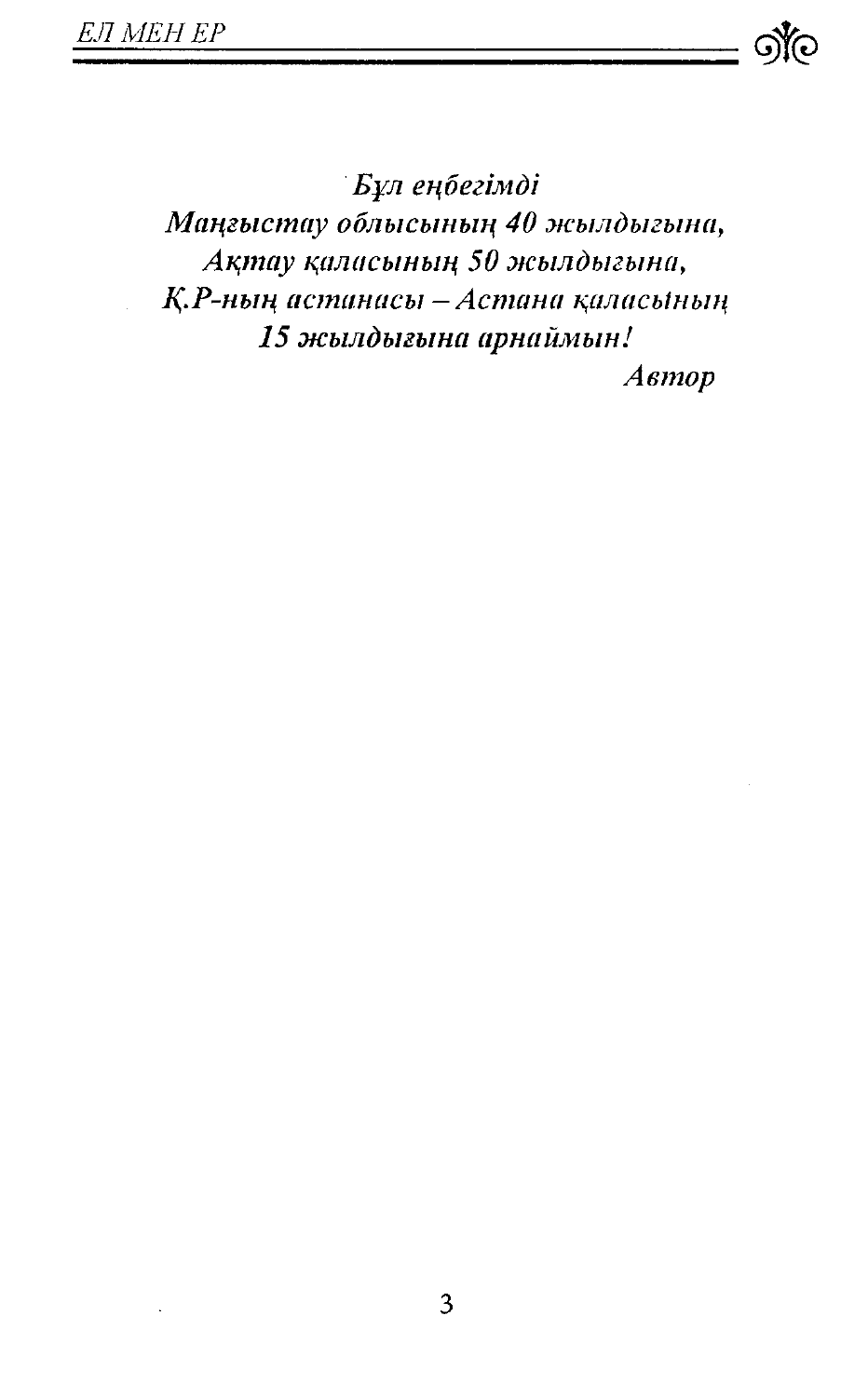

Бұл еңбегімді Маңғыстау облысының 40 жылдығына,

Ақтау қаласының 50 жылдығына, Қ.Р-ның астанасы - Астана қаласының 15 жылдығына арнаймын!  $A$ <sub>6</sub>mop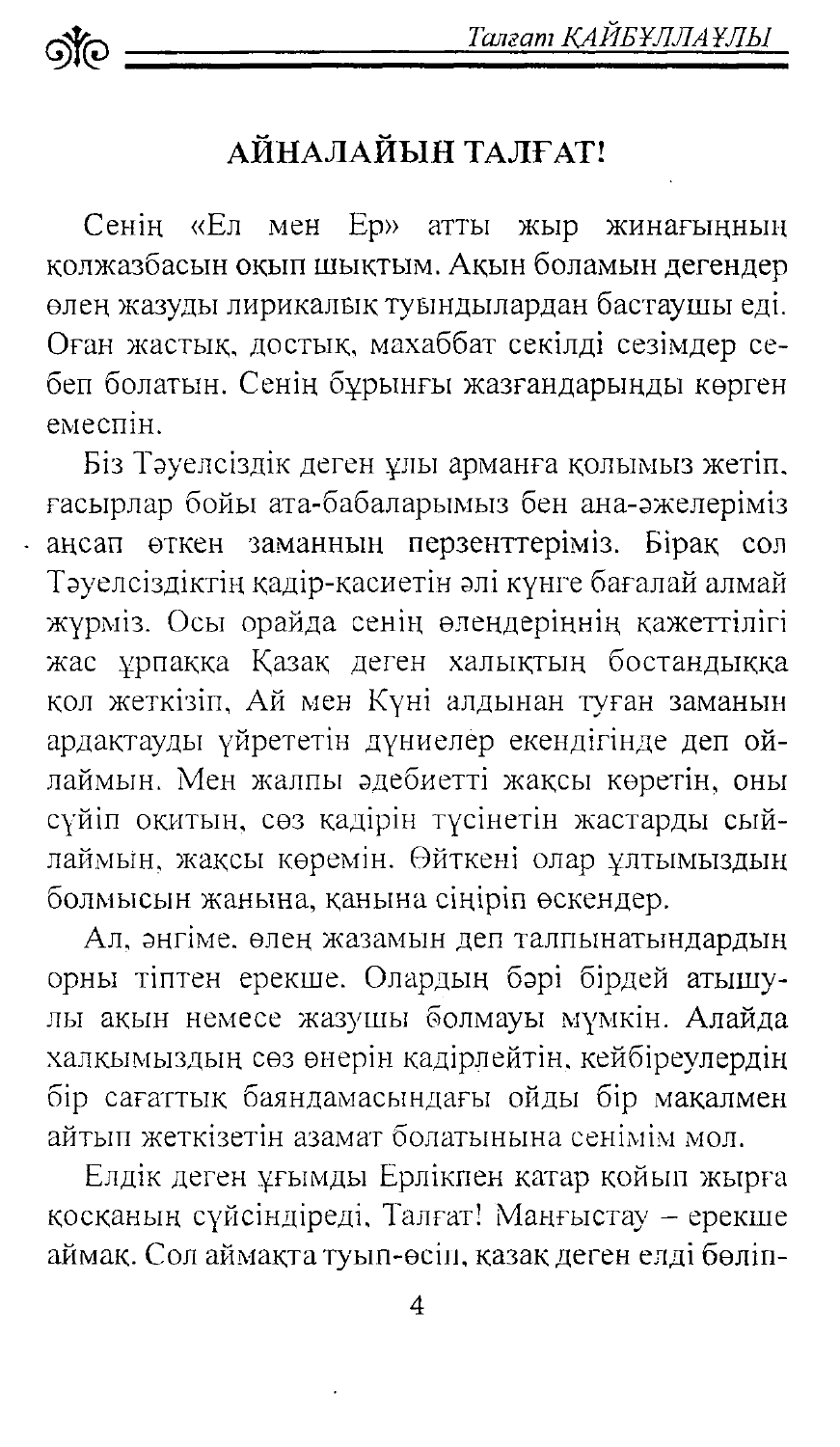# АЙНАЛАЙЫН ТАЛҒАТ!

Сенің «Ел мен Ер» атты жыр жинағынның қолжазбасын оқып шықтым. Ақын боламын дегендер өлең жазуды лирикалық туындылардан бастаушы еді. Оған жастық, достық, махаббат секілді сезімдер себеп болатын. Сенің бұрынғы жазғандарынды көрген емеспін.

Біз Тәуелсіздік деген ұлы арманға қолымыз жетіп, ғасырлар бойы ата-бабаларымыз бен ана-әжелеріміз өткен заманның перзенттеріміз. Бірақ сол ансап Тәуелсіздіктің қадір-қасиетін әлі күнге бағалай алмай журміз. Осы орайда сенің өлеңдеріңнің қажеттілігі жас ұрпаққа Қазақ деген халықтың бостандыққа кол жеткізіп, Ай мен Күні алдынан туған заманын ардақтауды үйрететін дүниелер екендігінде деп ойлаймын. Мен жалпы әдебиетті жақсы көретін, оны сүйіп оқитын, сөз қадірін түсінетін жастарды сыйлаймын, жақсы көремін. Өйткені олар ұлтымыздың болмысын жанына, қанына сіңіріп өскендер.

Ал, әңгіме, өлең жазамын деп талпынатындардың орны тіптен ерекше. Олардың бәрі бірдей атышулы ақын немесе жазушы болмауы мүмкін. Алайда халкымыздың сөз өнерін қадірлейтін, кейбіреулердің бір сағаттық баяндамасындағы ойды бір мақалмен айтып жеткізетін азамат болатынына сенімім мол.

Елдік деген ұғымды Ерлікпен қатар қойып жырға қосқаның сүйсіндіреді, Талғат! Маңғыстау – ерекше аймак. Сол аймақта туып-өсіп, қазақ деген елді бөліп-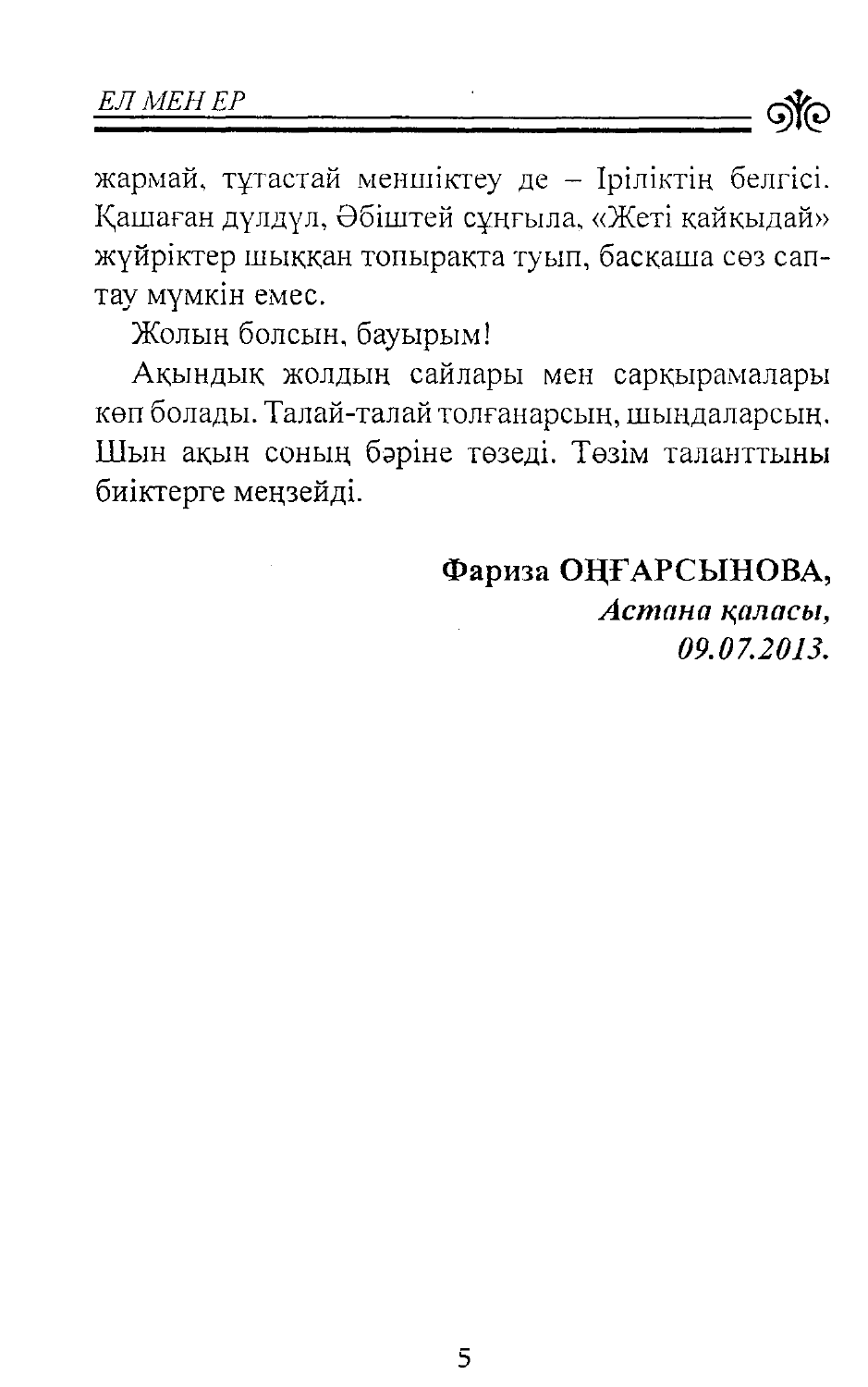

жармай, тұтастай меншіктеу де - Іріліктің белгісі. Қашаған дүлдүл, Әбіштей сұңғыла, «Жеті қайқыдай» жүйріктер шыққан топырақта туып, басқаша сөз саптау мүмкін емес.

Жолың болсын, бауырым!

Ақындық жолдың сайлары мен сарқырамалары көп болады. Талай-талай толғанарсың, шыңдаларсың. Шын ақын соның бәріне төзеді. Төзім таланттыны биіктерге меңзейді.

> Фариза ОҢҒАРСЫНОВА, Астана каласы, 09.07.2013.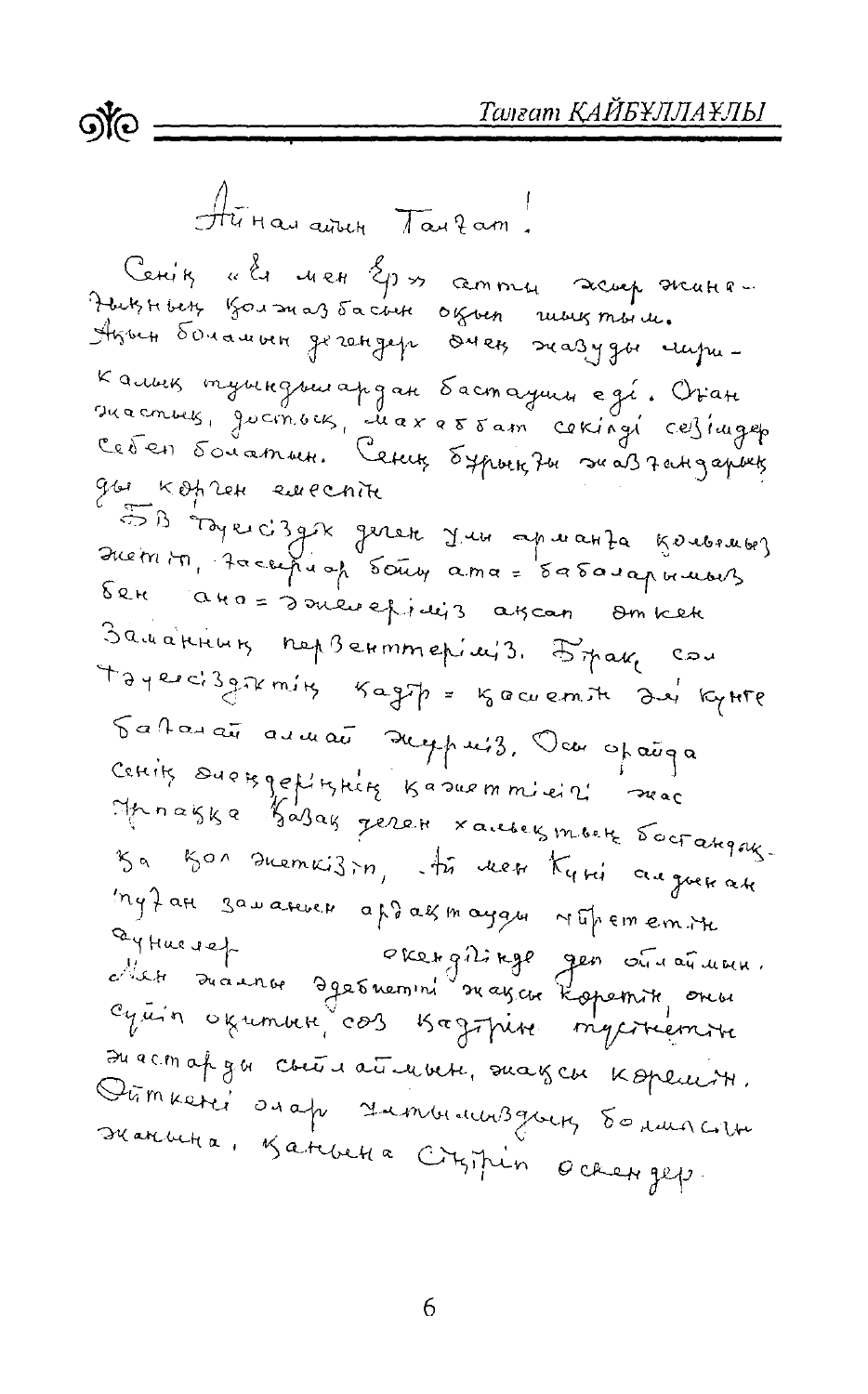Atitan aires Tarlam!

্যাঁত  $\equiv$ 

Ceniquely with the Syro common action sociales. Arven Souaman greengen over suasyger unpu-Kannek myntegourapgan Sacmayun egí. Otan<br>suacmuk, gocmous, navassam cekingi celjugep Ceten Souannen. Ceteux Syptex, 74 suas fatigaptets gran Koffren eurechite you what a south time would know the avetreto, tacelling sous ama= babaraphines Sen ano= donevertiveis again om ken Bawakkung nep Benmmepiais. Spax, can Tayercisaning Kagip = Kocuemit and KyHTP Sataran avuan duppuis, Oca opanga Cenity supplying Kasuemmieil' sea Frinagka Basay geren xandekment Socratique Ka Kon suenkizin, tu mes kusi anguran ingfan sawarever affassmayay nupememin aykursep ay Huesey okergilinge gen diratium.<br>Met Duarner Ogebrenin' suayan kopernik oner succimation cheud au mont, suagen kopenist. Gümkeri onaf JumbianBgoury Sommacin suannina, Katibetia Cityipin Ochemgep.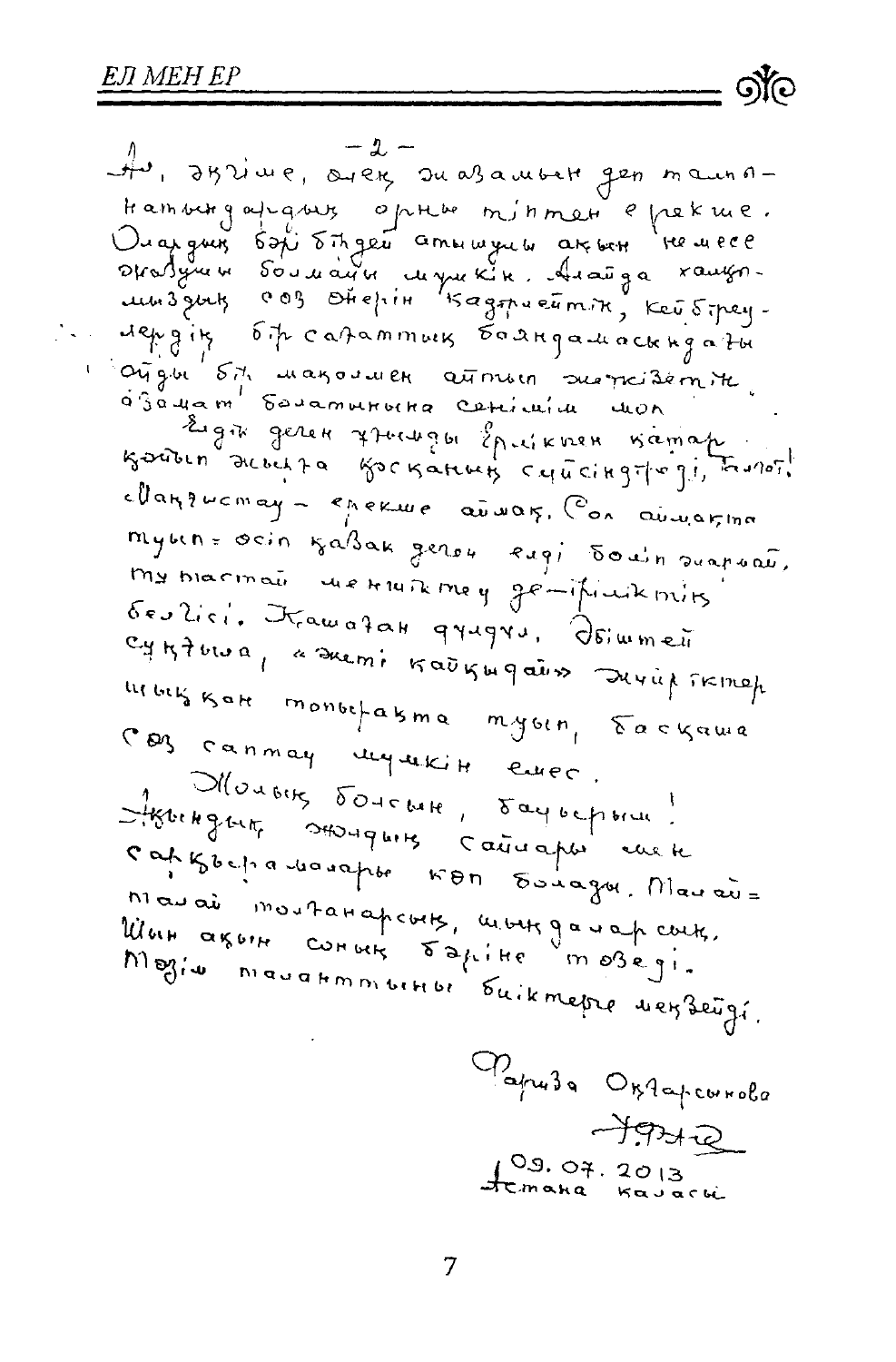He, arrive, orex, suasannot gen mains-Hamburgaques opique minmer epekue. Orazgan baji bitigen amumjum arton inemece<br>prodymm bornanin urgurtin, Aranga xamona denging oit catammung Boargadaackingatu Cagou 6th maroinnen automon suiteisemite. Ligik gerek & torugh ignalknen namar claygucmay - enekuse avuax. Con avuaxina myun= ocin gabak geron eagi Sounguaroau, my marmain we want mey ge-point mits Geolici. Kawalah gyagru, Jeiwmei Cytytowa, «Suemi Kaugugain Jurief Frinch urukskan monocfasma myorn, Fackawa CBB cannay mymerit ever. Monoux Sourcuse, Saybepoine. Streetingthe storaghts causaper even capkbeja wasaph KOn Souaga. Marau= nianai montanapcuts, mut ganapcuts, Work agone convers Japine mosegi. Mogine manationnement ouikmepe nexteigi. Mapula Oxigrapeurole JAHR 109.07.2013<br>Acmana Kavaru

ഩ഻ഁ൙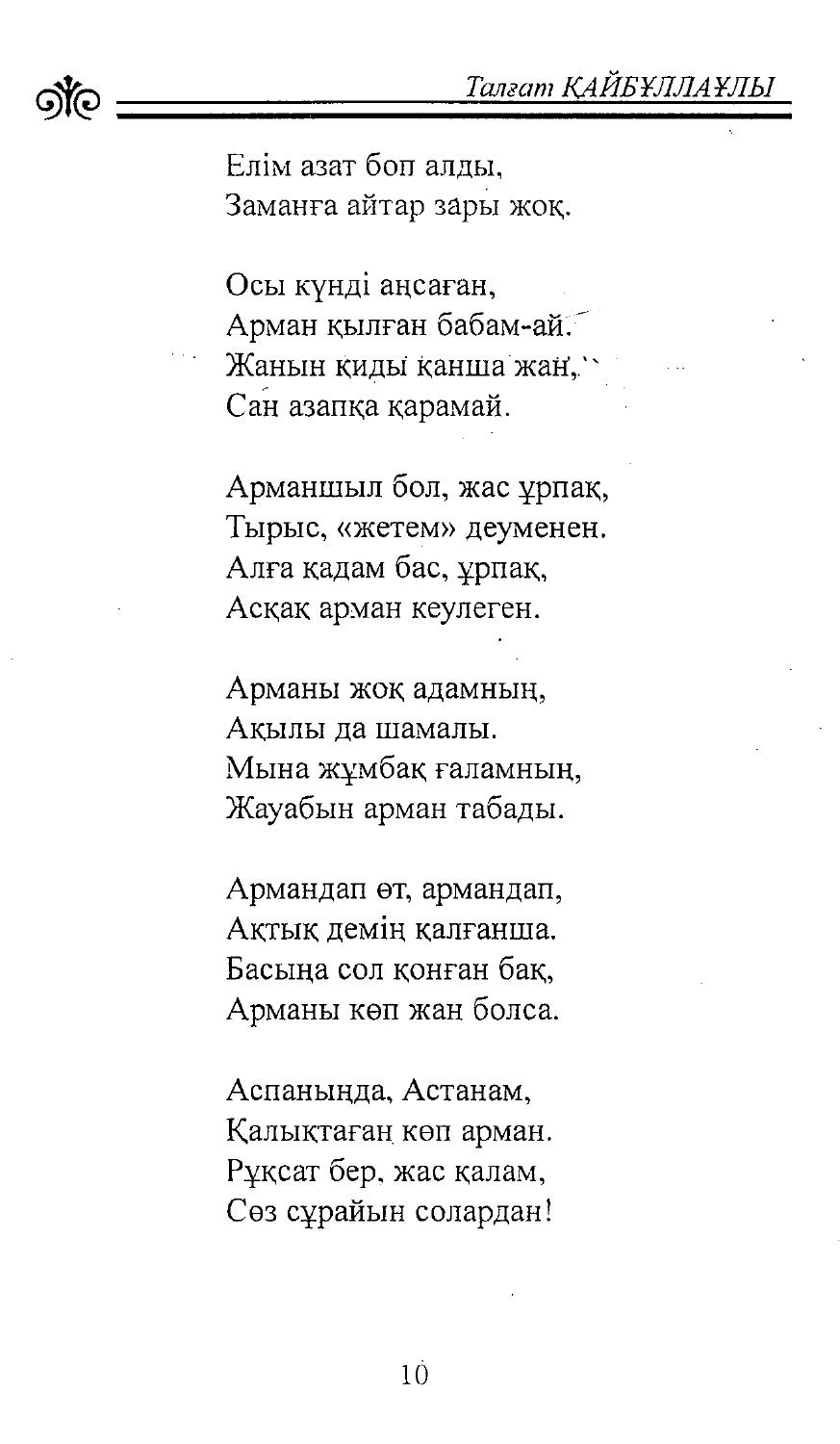Елім азат боп алды, Заманға айтар зары жоқ.

Осы күнді аңсаған, Арман қылған бабам-ай. Жанын киды канша жан. Сан азапка карамай.

Арманшыл бол, жас ұрпақ, Тырыс, «жетем» деуменен. Алға қадам бас, ұрпақ, Асқақ арман кеулеген.

Арманы жоқ адамның, Акылы да шамалы. Мына жұмбақ ғаламның, Жауабын арман табады.

Армандап өт, армандап, Ақтық демің қалғанша. Басыңа сол қонған бақ, Арманы көп жан болса.

Аспанында, Астанам, Калыктаған көп арман. Рұқсат бер, жас қалам, Сөз сұрайын солардан!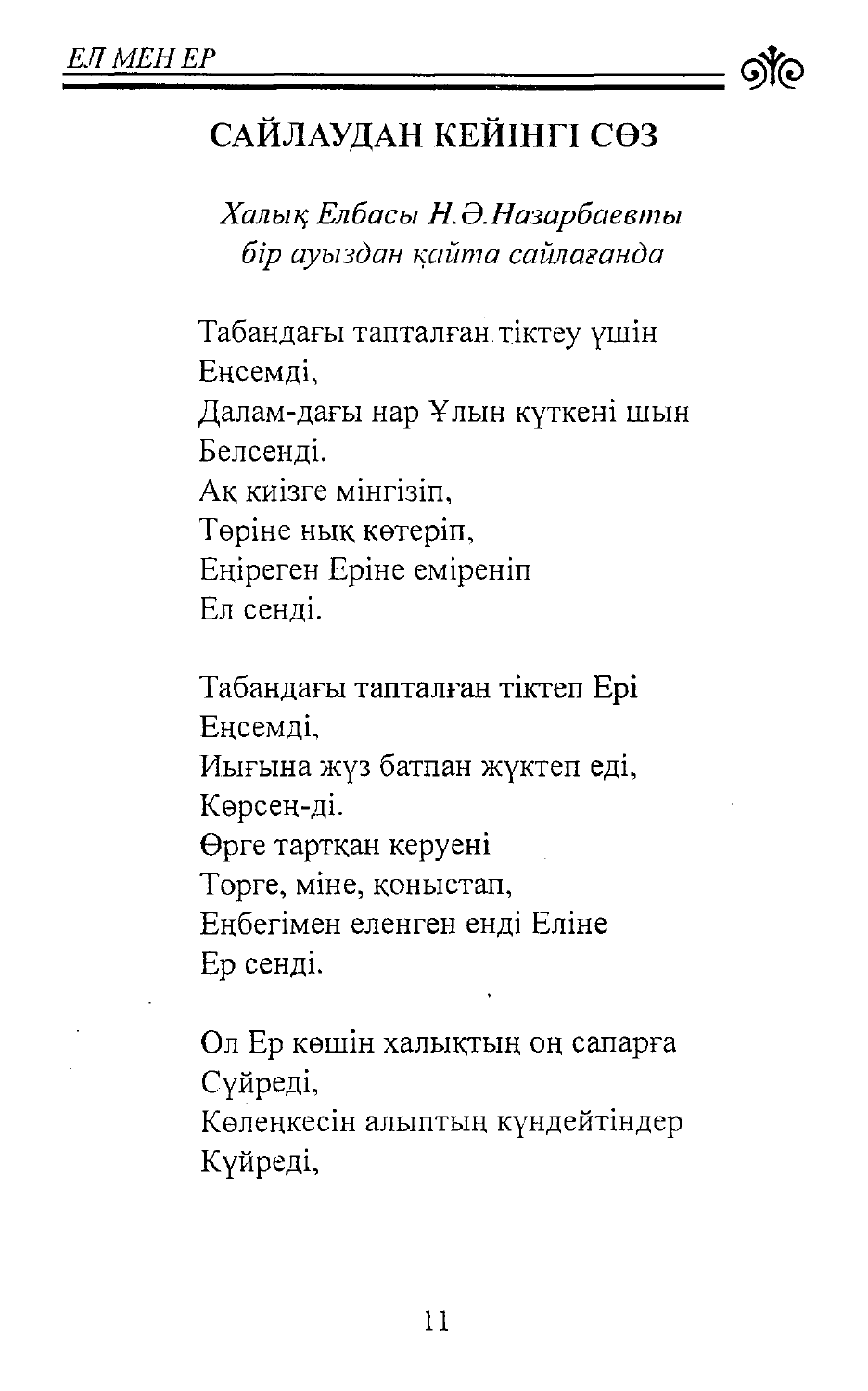# САЙЛАУДАН КЕЙІНГІ СӨЗ

Халық Елбасы Н.Ә.Назарбаевты бір ауыздан қайта сайлағанда

Табандағы тапталған тіктеу үшін Енсемлі.

Далам-дағы нар Ұлын күткені шын Белсенді.

Ак киізге мінгізіп.

Төріне нық көтеріп,

Еңіреген Еріне еміреніп Ел сенді.

Табандағы тапталған тіктеп Ері Еңсемді, Иығына жүз батпан жүктеп еді, Көрсен-ді. Өрге тартқан керуені Төрге, міне, коныстап, Енбегімен еленген енді Еліне Ер сенді.

Ол Ер көшін халықтың оң сапарға Суйреді,

Көлеңкесін алыптың күндейтіндер Күйреді,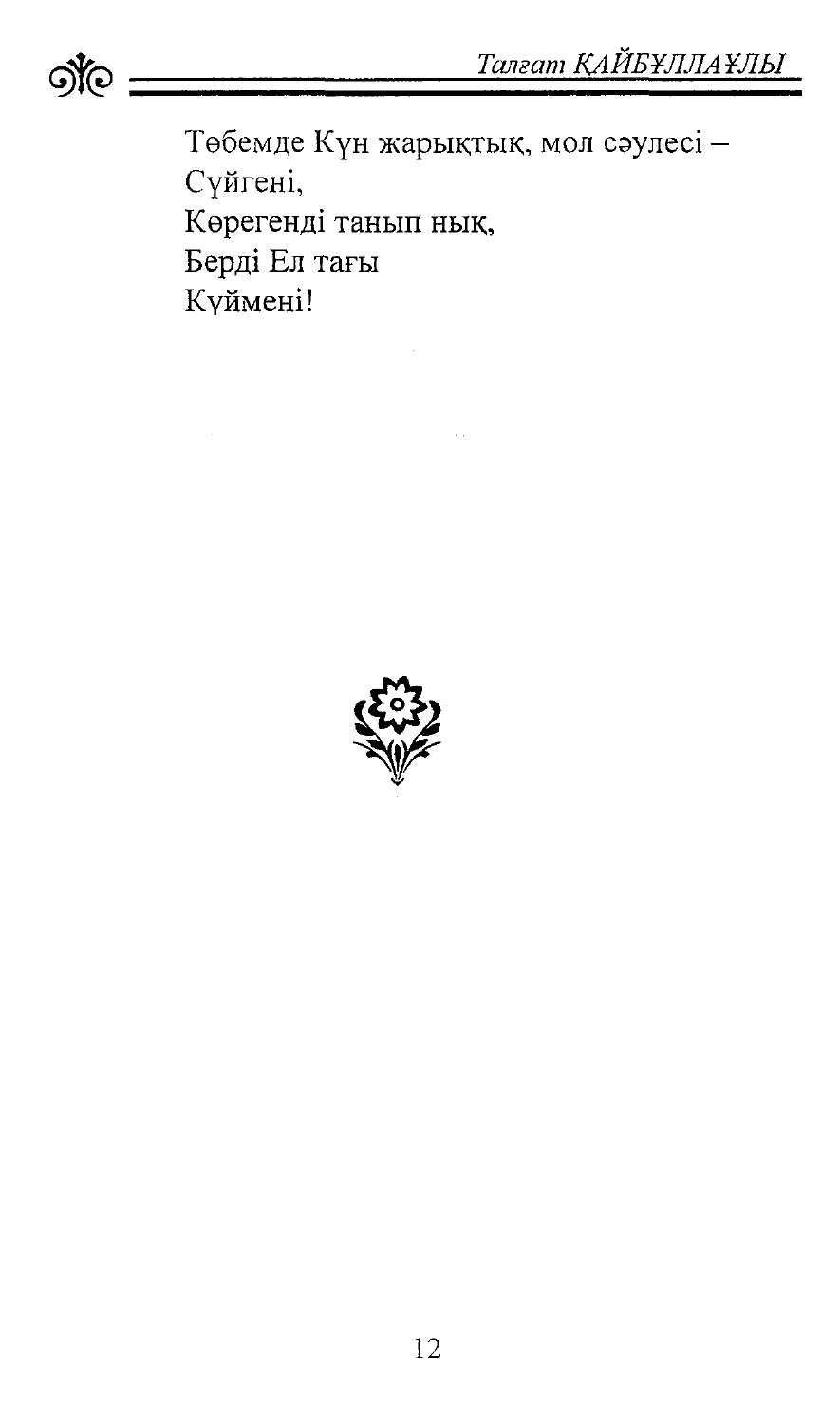Төбемде Күн жарықтық, мол сәулесі -Сүйгені, Көрегенді танып нық, Берді Ел тағы Куймені!

෯්ල

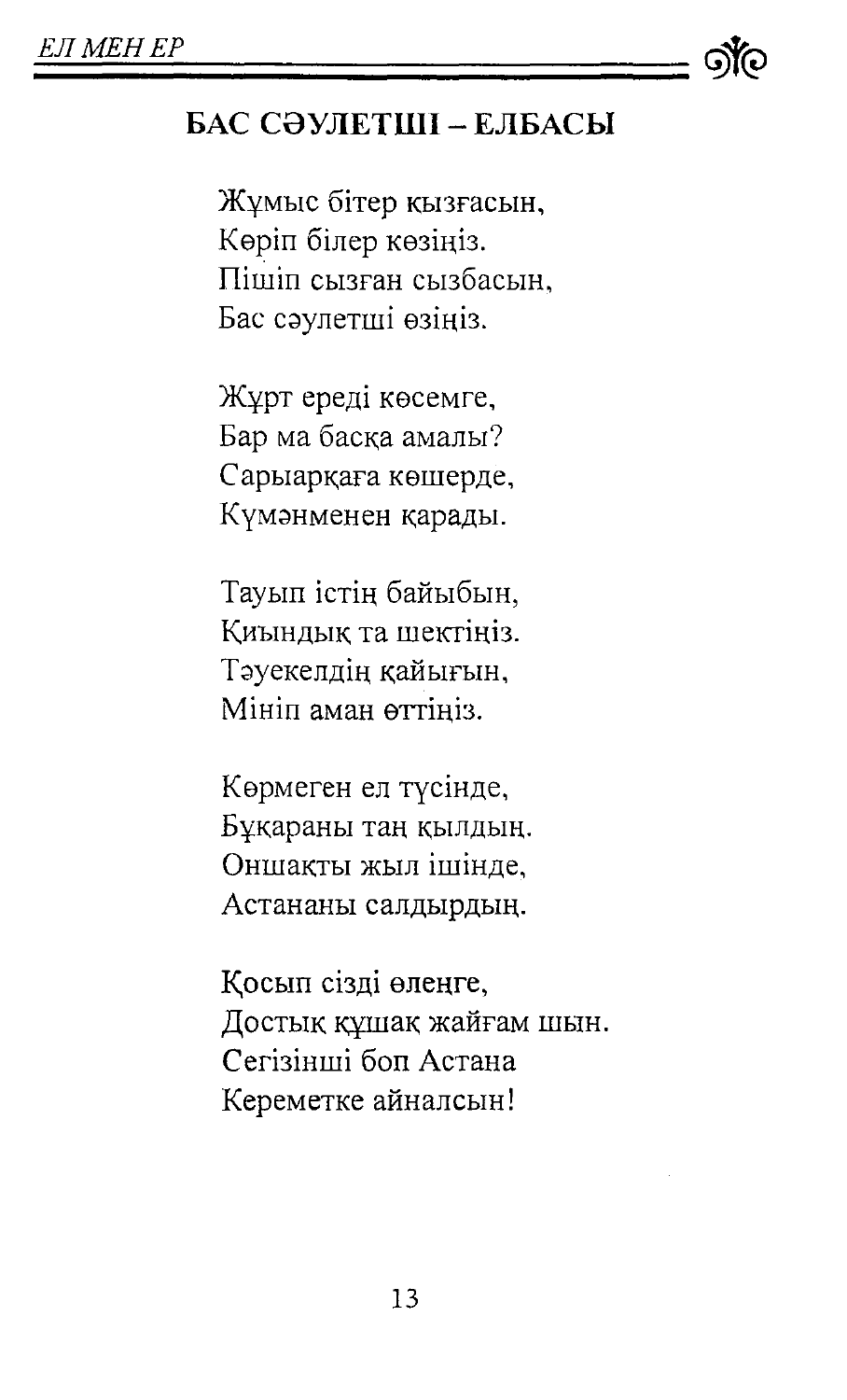### БАС СӘУЛЕТІШ - ЕЛБАСЫ

Жұмыс бітер қызғасын, Көріп білер көзіңіз. Пішіп сызған сызбасын. Бас сәулетші өзініз.

Жұрт ереді көсемге, Бар ма басқа амалы? Сарыарқаға көшерде, Күмәнменен қарады.

Тауып істің байыбын, Киындык та шектініз. Тәуекелдің қайығын, Мініп аман өттініз.

Көрмеген ел түсінде, Бұқараны таң қылдың. Оншакты жыл ішінде. Астананы салдырдың.

Косып сізді өлеңге, Достык кушак жайғам шын. Сегізінші боп Астана Кереметке айналсын!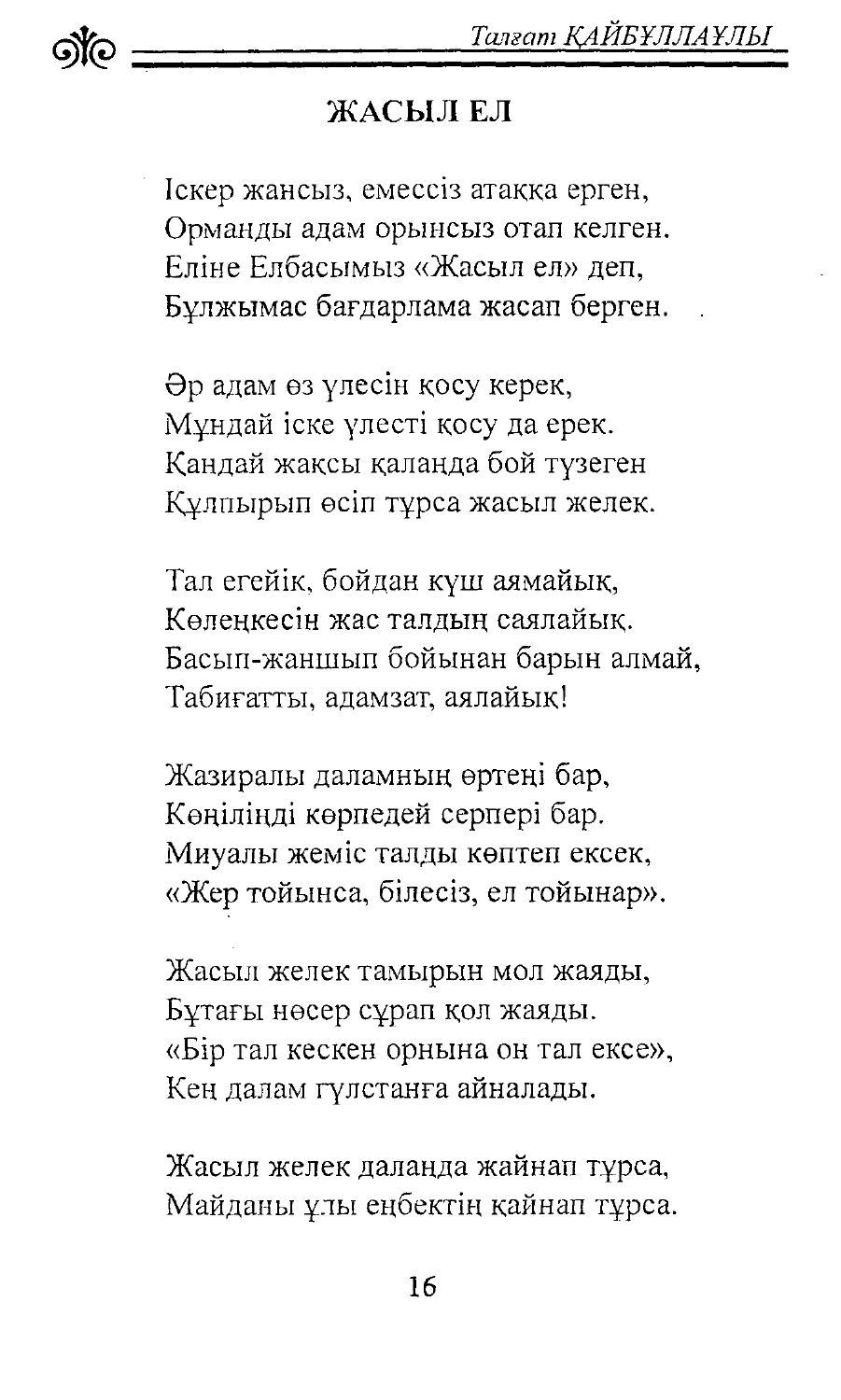## ЖАСЫЛ ЕЛ

Іскер жансыз, емессіз атаққа ерген, Орманды адам орынсыз отап келген. Еліне Елбасымыз «Жасыл ел» деп. Бұлжымас бағдарлама жасап берген.

Әр адам өз үлесін қосу керек, Мұндай іске үлесті қосу да ерек. Кандай жақсы қалаңда бой түзеген Құлпырып өсіп тұрса жасыл желек.

Тал егейік, бойдан күш аямайық, Көленкесін жас талдың саялайық. Басып-жаншып бойынан барын алмай. Табиғатты, адамзат, аялайық!

Жазиралы даламның өртеңі бар, Көңіліңді көрпедей серпері бар. Миуалы жеміс талды көптеп ексек, «Жер тойынса, білесіз, ел тойынар».

Жасыл желек тамырын мол жаяды, Бұтағы нөсер сұрап қол жаяды. «Бір тал кескен орнына он тал ексе», Кең далам гүлстанға айналады.

Жасыл желек далаңда жайнап тұрса, Майданы ұлы еңбектің қайнап тұрса.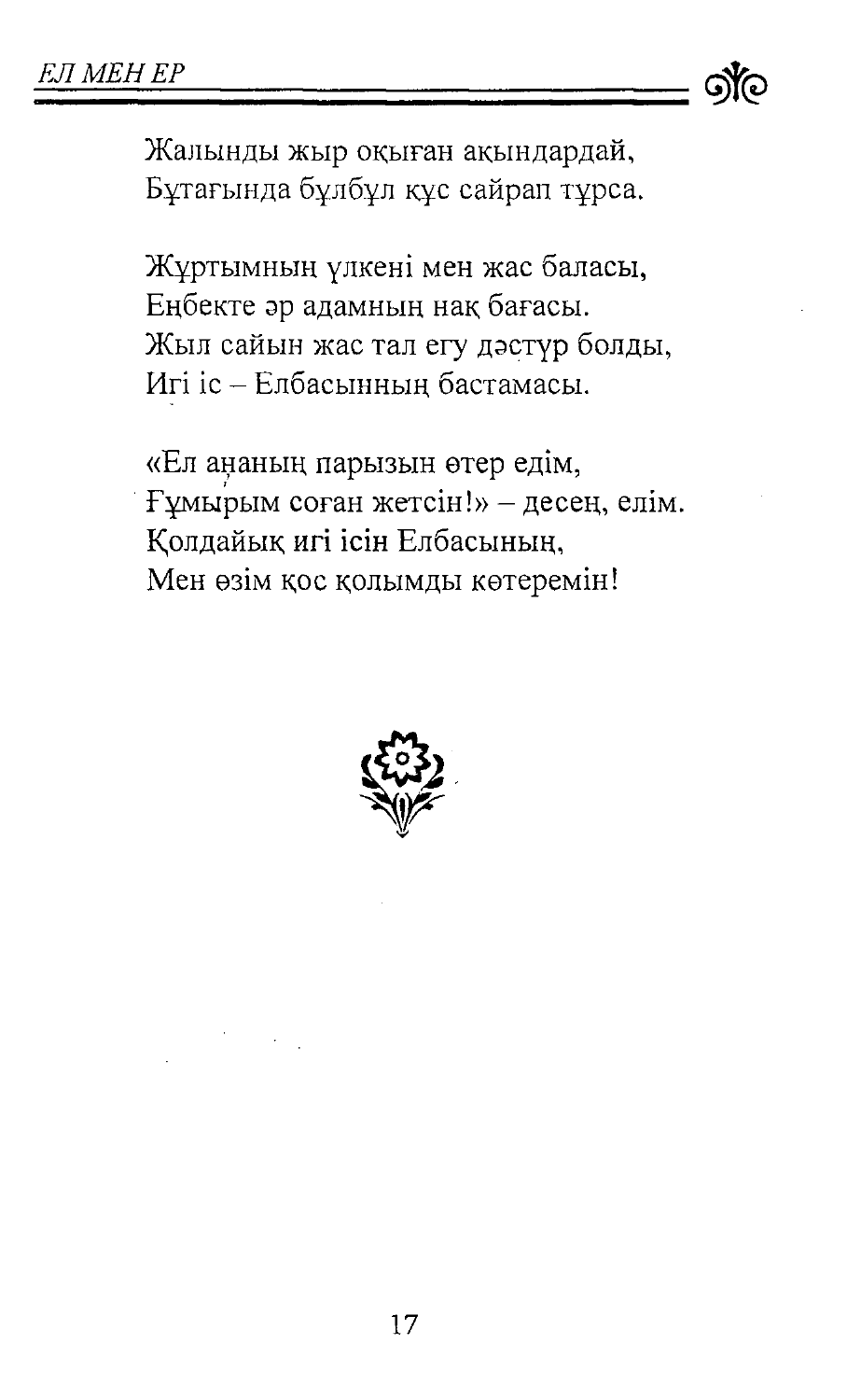Жалынды жыр оқыған ақындардай, Бұтағында бұлбұл құс сайрап тұрса.

Жұртымның үлкені мен жас баласы, Еңбекте әр адамның нақ бағасы. Жыл сайын жас тал егу дәстүр болды, Игі іс - Елбасыннын бастамасы.

«Ел ананың парызын өтер едім, Ғұмырым соған жетсін!» - десең, елім. Колдайық игі ісін Елбасының, Мен өзім қос қолымды көтеремін!

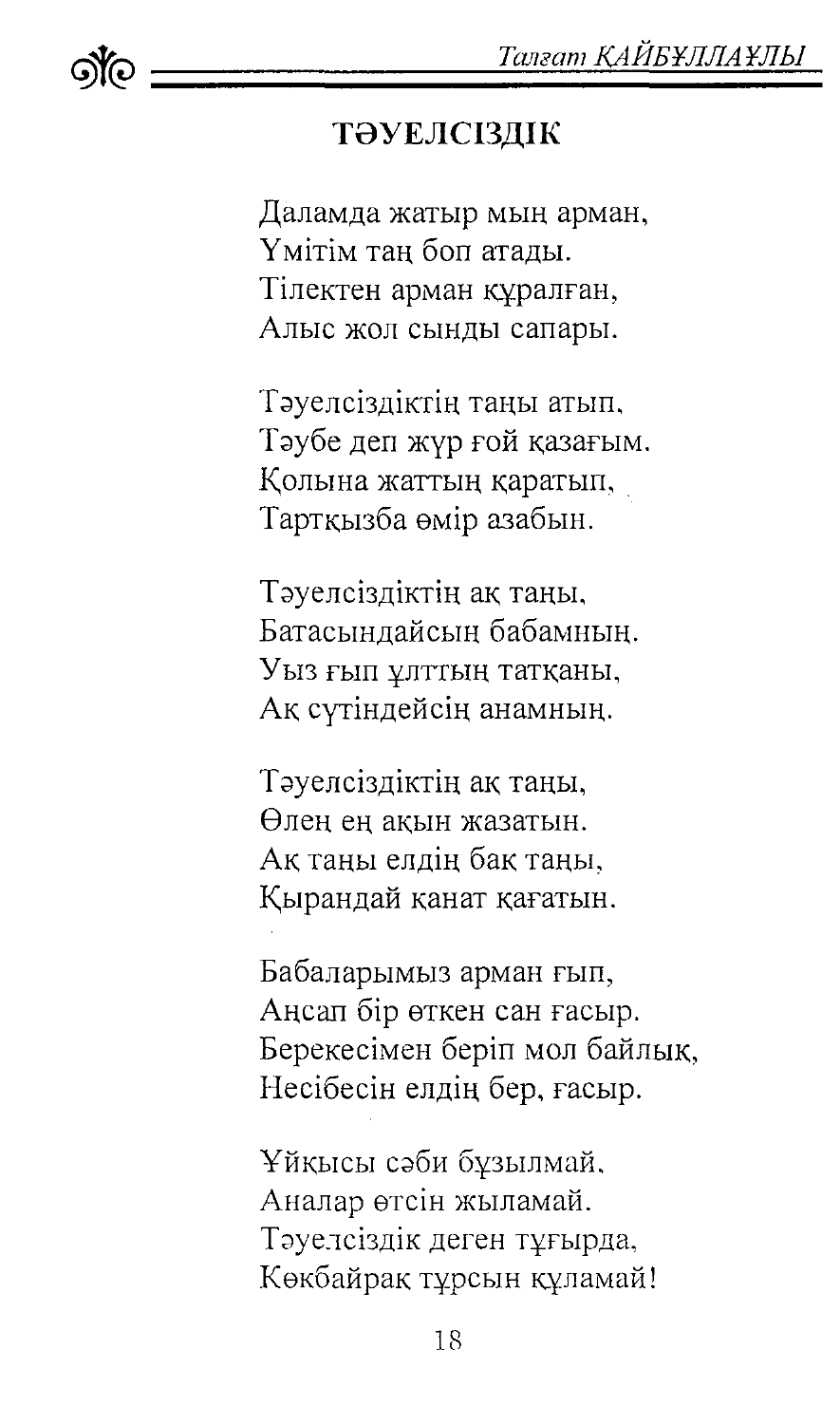#### ТӘУЕЛСІЗДІК

Даламда жатыр мың арман, Үмітім таң боп атады. Тілектен арман құралған, Алыс жол сынды сапары.

Тәуелсіздіктің таңы атып, Тәубе деп жүр ғой қазағым. Колына жаттың қаратып, Тартқызба өмір азабын.

Тәуелсіздіктің ақ таңы, Батасындайсың бабамның. Уыз ғып ұлттың татқаны, Ақ сүтіндейсің анамның.

Тәуелсіздіктің ақ таңы, Өлен ен акын жазатын. Ақ таңы елдің бақ таңы, Кырандай қанат қағатын.

Бабаларымыз арман ғып, Аңсап бір өткен сан ғасыр. Берекесімен беріп мол байлық, Несібесін елдің бер, ғасыр.

Ұйқысы сәби бұзылмай, Аналар өтсін жыламай. Тәуелсіздік деген тұғырда, Көкбайрақ тұрсын құламай!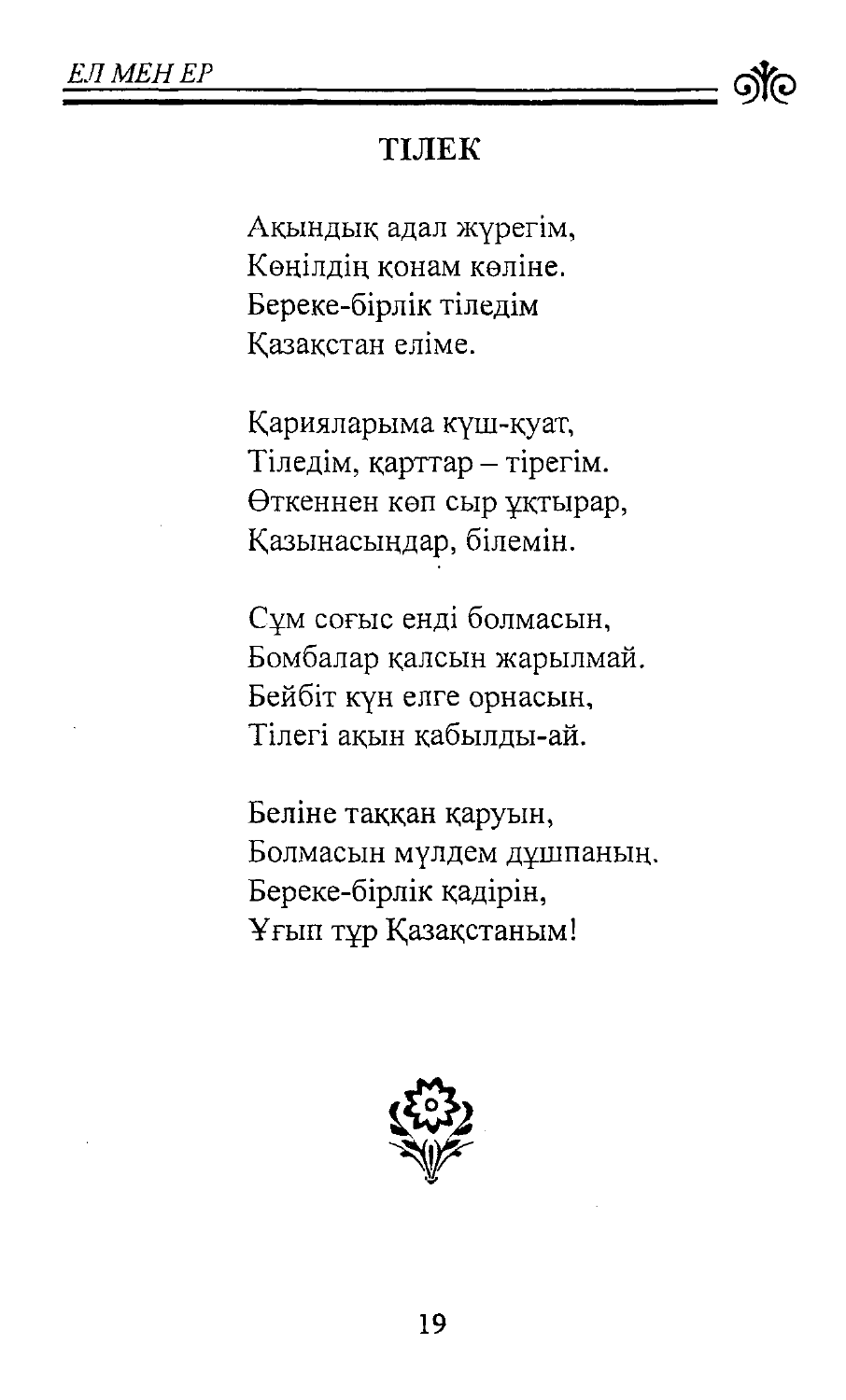

# **TIJIEK**

Ақындық адал жүрегім, Көңілдің қонам көліне. Береке-бірлік тіледім Казакстан еліме.

Қарияларыма күш-қуат, Тіледім, қарттар - тірегім. Өткеннен көп сыр ұқтырар, Казынасыңдар, білемін.

Сұм соғыс енді болмасын, Бомбалар қалсын жарылмай. Бейбіт күн елге орнасын, Тілегі акын кабыллы-ай.

Беліне таққан қаруын, Болмасын мүлдем дұшпаның. Береке-бірлік қадірін, Ұғып тұр Қазақстаным!

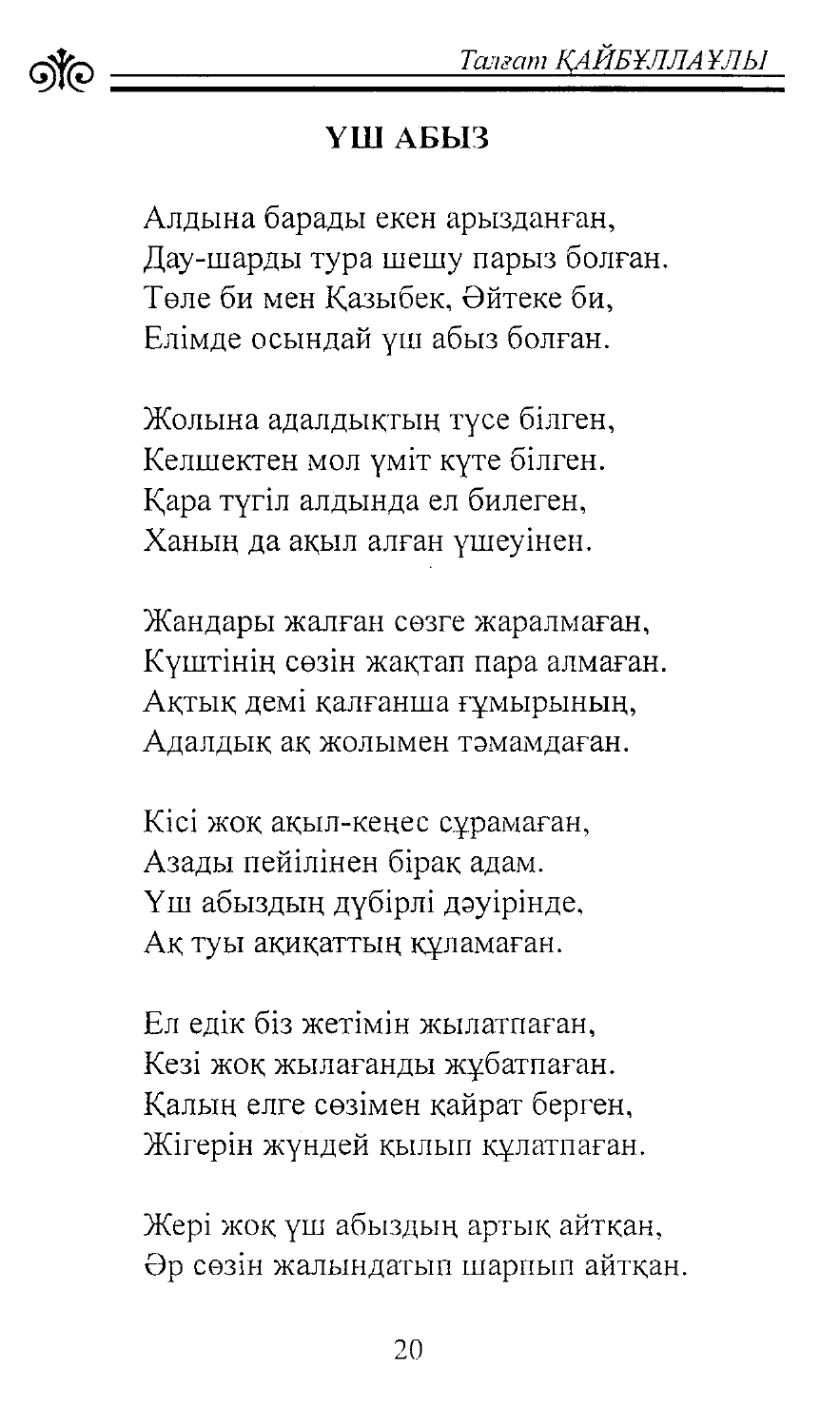

## **YIII AFLI3**

Алдына барады екен арызданған, Дау-шарды тура шешу парыз болған. Төле би мен Казыбек, Әйтеке би, Елімде осындай үш абыз болған.

Жолына адалдықтың түсе білген, Келшектен мол үміт күте білген. Кара түгіл алдында ел билеген, Ханың да ақыл алған үшеуінен.

Жандары жалған сөзге жаралмаған, Куштінің сөзін жақтап пара алмаған. Ақтық демі қалғанша ғұмырының, Адалдық ақ жолымен тәмамдаған.

Кісі жоқ ақыл-кеңес сұрамаған, Азады пейілінен бірақ адам. Үш абыздың дүбірлі дәуірінде, Ақ туы ақиқаттың құламаған.

Ел едік біз жетімін жылатпаған, Кезі жоқ жылағанды жұбатпаған. Калың елге сөзімен қайрат берген, Жігерін жүндей қылып құлатпаған.

Жері жоқ үш абыздың артық айтқан, Әр сөзін жалындатып шарпып айтқан.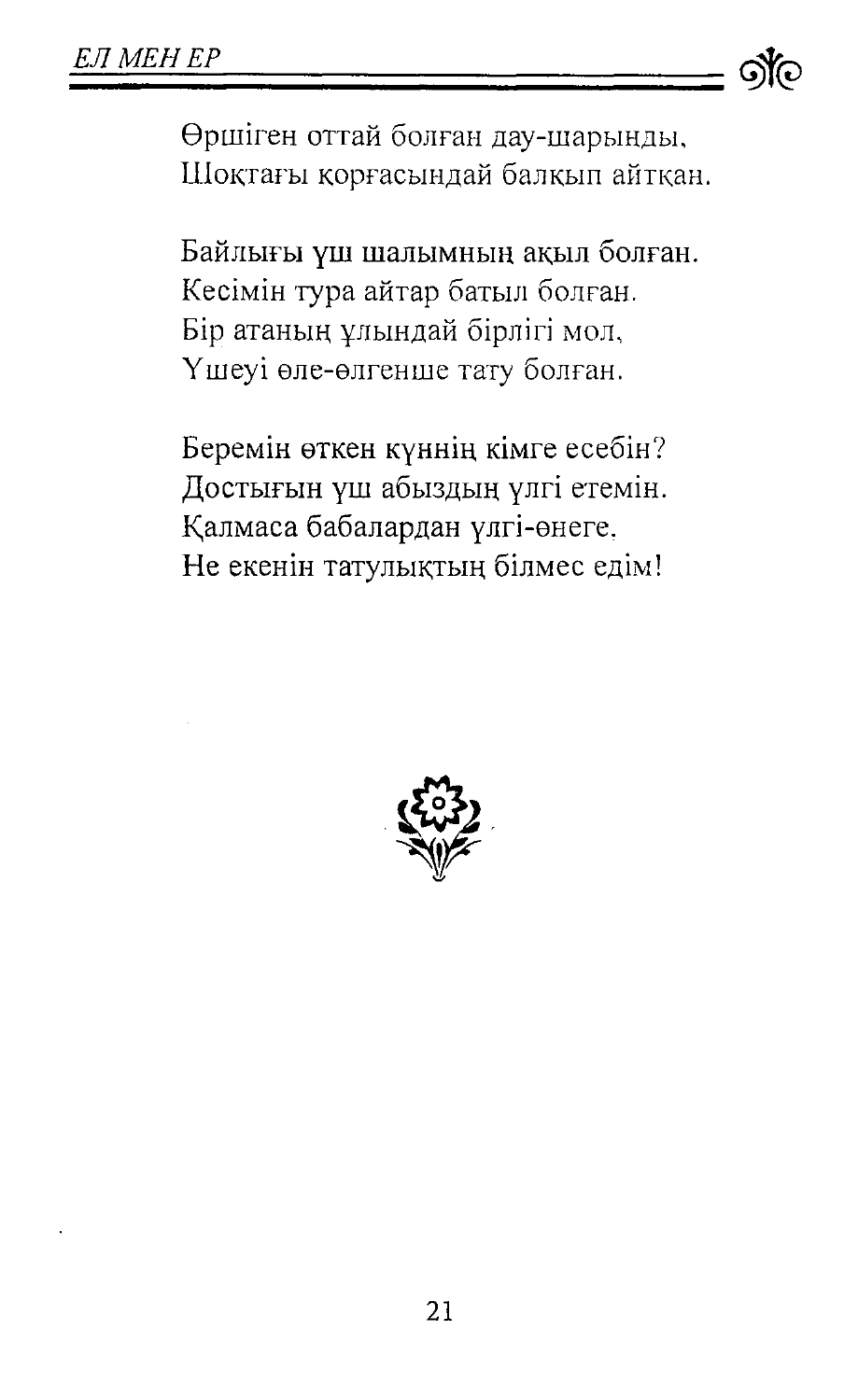

Өршіген оттай болған дау-шарыңды, Шоқтағы қорғасындай балқып айтқан.

Байлығы үш шалымның ақыл болған. Кесімін тура айтар батыл болған. Бір атаның ұлындай бірлігі мол, Үшеуі өле-өлгенше тату болған.

Беремін өткен күннің кімге есебін? Достығын үш абыздың үлгі етемін. Калмаса бабалардан үлгі-өнеге. Не екенін татулықтың білмес едім!

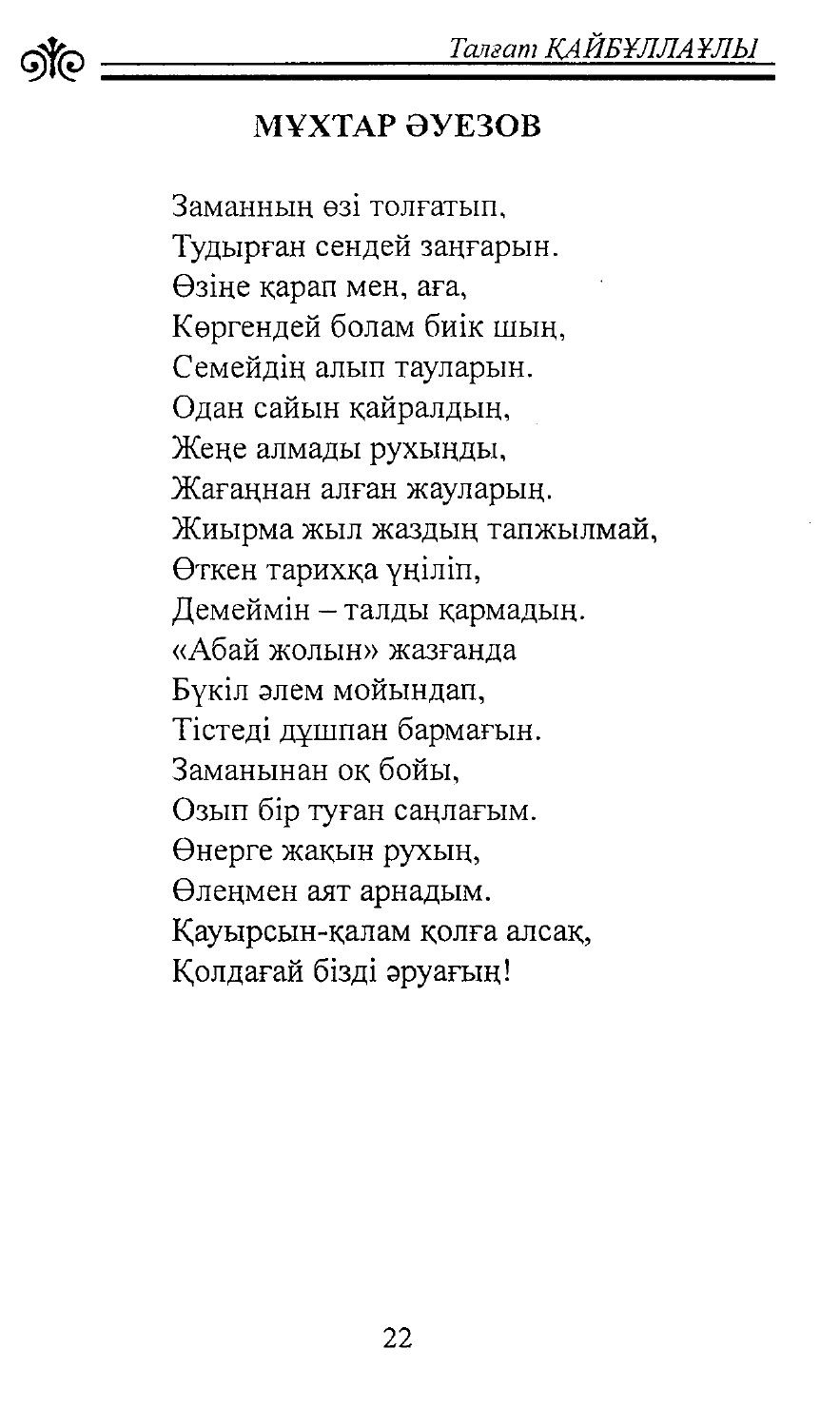## **MYXTAP ƏYE3OB**

Заманнын өзі толғатып. Тудырған сендей заңғарын. Өзіне қарап мен, аға, Көргендей болам биік шың, Семейдің алып тауларын. Одан сайын қайралдың, Жеңе алмады рухыңды, Жағаңнан алған жауларың. Жиырма жыл жаздың тапжылмай, Өткен тарихқа үңіліп, Лемеймін - талды қармадың. «Абай жолын» жазғанда Бүкіл әлем мойындап, Тістеді дұшпан бармағын. Заманынан ок бойы. Озып бір туған саңлағым. Өнерге жақын рухың, Өлеңмен аят арнадым. Кауырсын-қалам қолға алсақ, Колдағай бізді әруағың!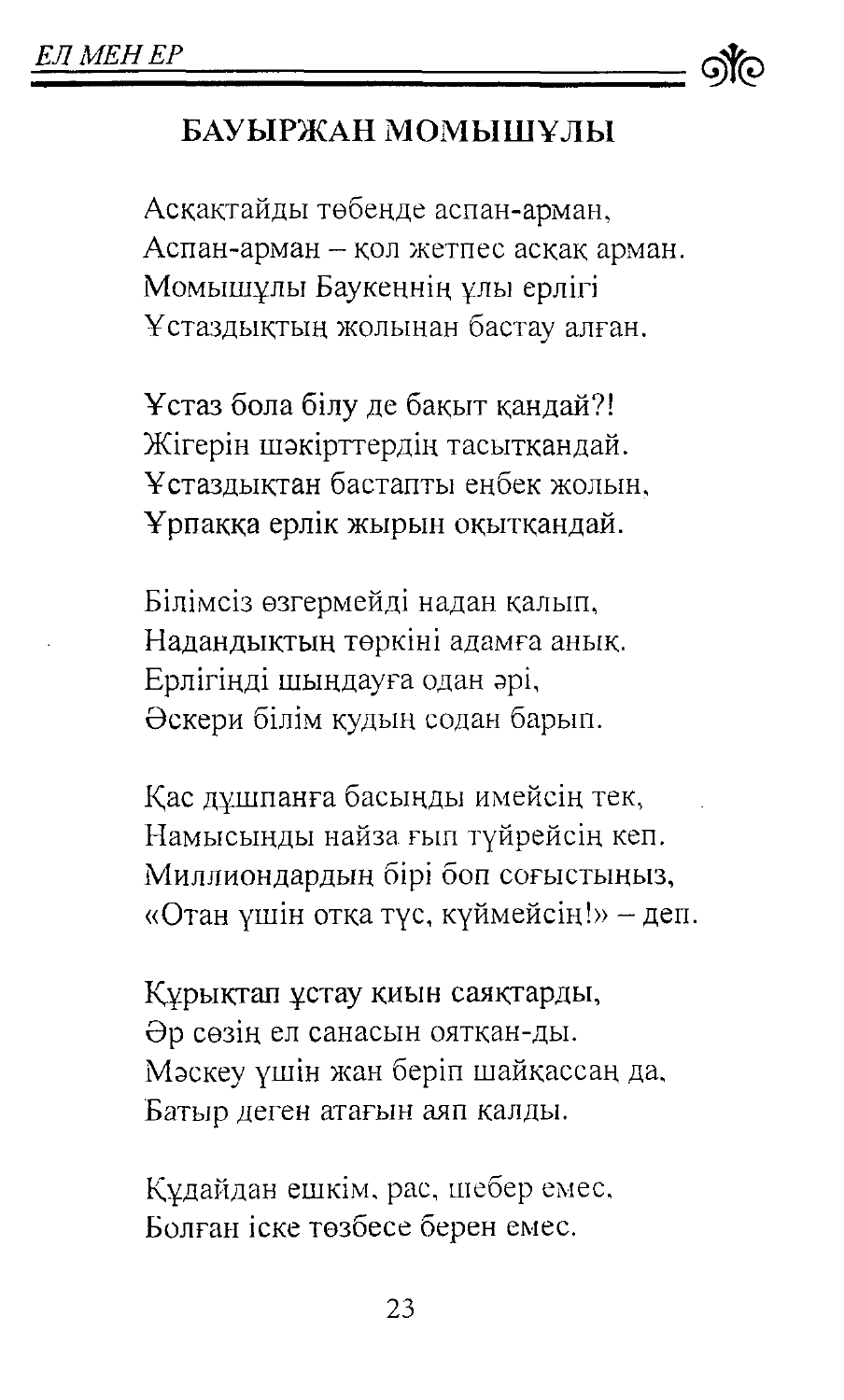

Асқақтайды төбенде аспан-арман, Аспан-арман - қол жетпес асқақ арман. Момышұлы Баукеңнің ұлы ерлігі Ұстаздықтың жолынан бастау алған.

Ұстаз бола білу де бақыт қандай?! Жігерін шәкірттердің тасытқандай. Ұстазлықтан бастапты енбек жолын. Ұрпаққа ерлік жырын оқытқандай.

Білімсіз өзгермейді надан қалып, Надандықтың төркіні адамға анық. Ерлігіңді шыңдауға одан әрі, Әскери білім қудың содан барып.

Қас дұшпанға басыңды имейсің тек, Намысынды найза ғып түйрейсің кеп. Миллиондардың бірі боп соғыстыңыз, «Отан ушін отқа түс, күймейсің!» - деп.

Кұрықтап ұстау қиын саяқтарды, Әр сөзің ел санасын оятқан-ды. Мәскеу үшін жан беріп шайқассаң да, Батыр деген атағын аяп қалды.

Кудайдан ешкім, рас, шебер емес, Болған іске төзбесе берен емес.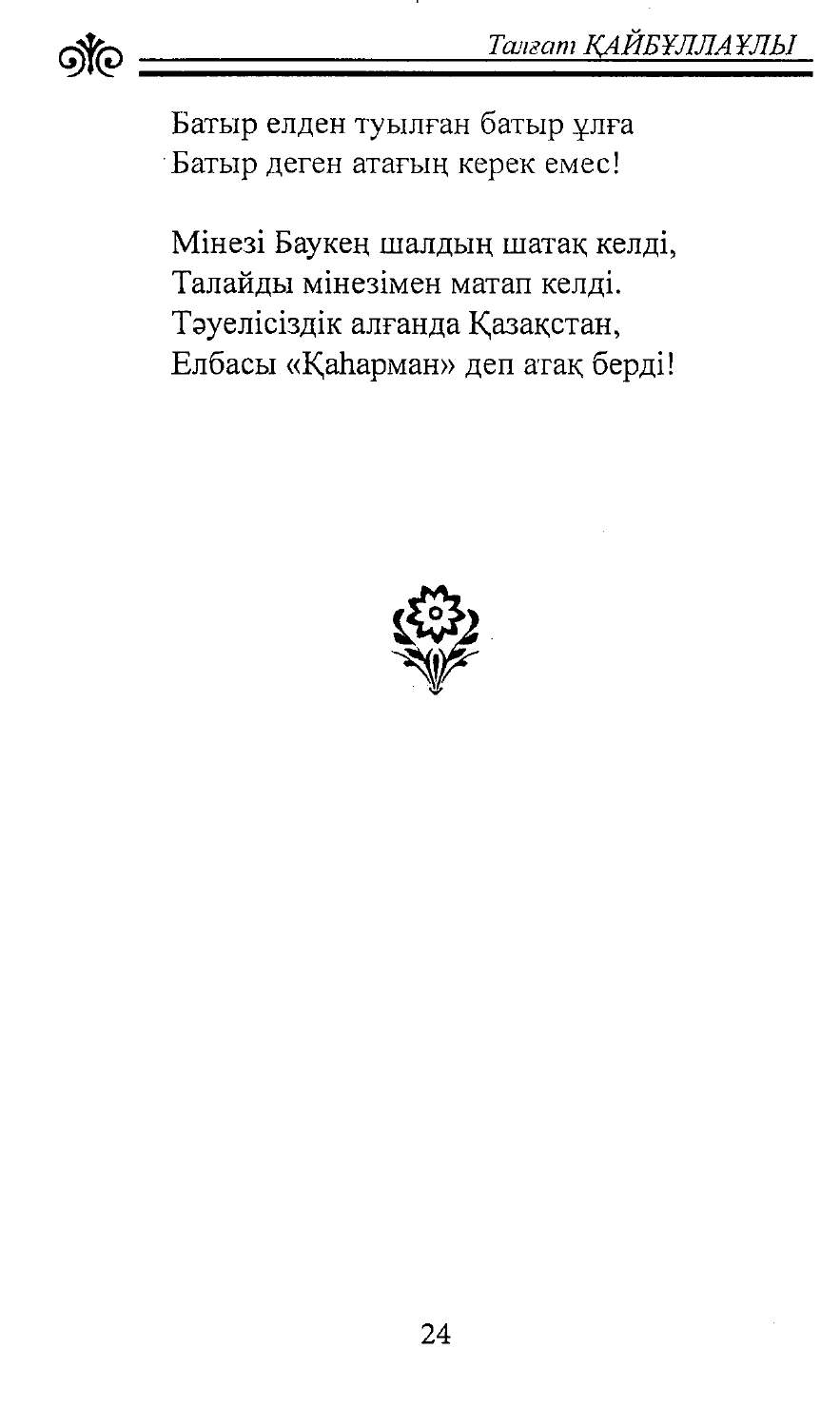Батыр елден туылған батыр ұлға Батыр деген атағың керек емес!

ഩ഻ഀ൙

Мінезі Баукең шалдың шатақ келді, Талайды мінезімен матап келді. Тәуелісіздік алғанда Қазақстан, Елбасы «Қаһарман» деп атақ берді!

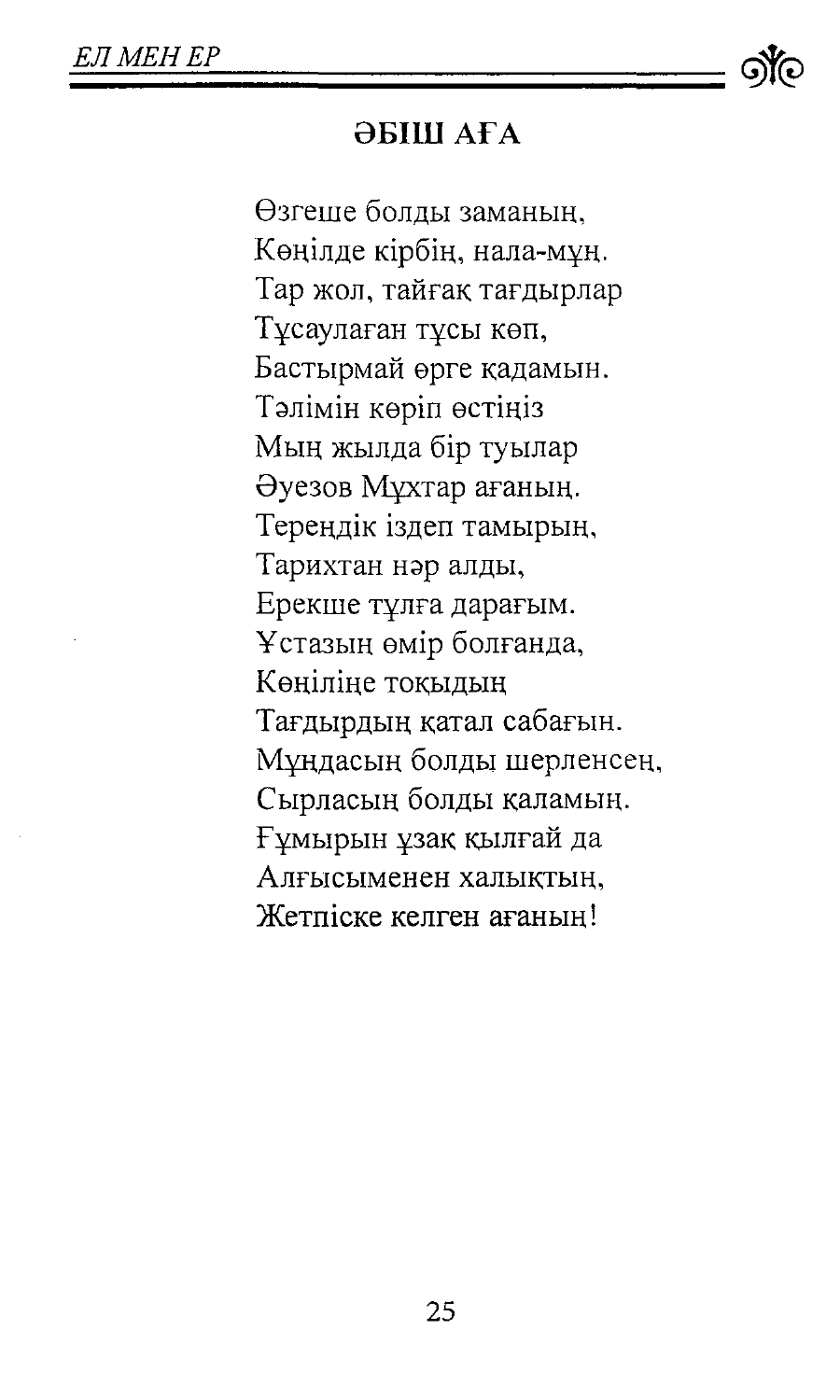

#### **ARIII AFA**

Өзгеше болды заманың, Көңілде кірбің, нала-мұң. Тар жол, тайғақ тағдырлар Тұсаулаған тұсы көп, Бастырмай өрге қадамын. Тәлімін көріп өстіңіз Мың жылда бір туылар Әуезов Мұхтар ағаның. Тереңдік іздеп тамырың, Тарихтан нәр алды, Ерекше тұлға дарағым. Ұстазың өмір болғанда, Көніліне тоқыдың Тағдырдың қатал сабағын. Мұңдасың болды шерленсең, Сырласың болды қаламың. Ғұмырын ұзақ қылғай да Алғысыменен халықтың, Жетпіске келген ағанын!